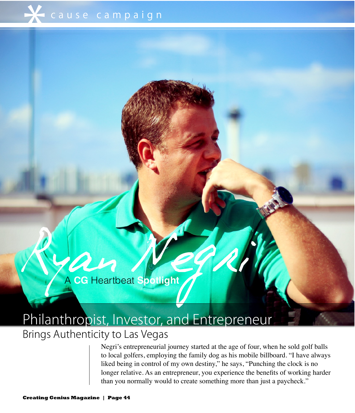Ryan Negr A **CG** Heartbeat **Spotlight**

## Philanthropist, Investor, and Entrepreneur

## Brings Authenticity to Las Vegas

Negri's entrepreneurial journey started at the age of four, when he sold golf balls to local golfers, employing the family dog as his mobile billboard. "I have always liked being in control of my own destiny," he says, "Punching the clock is no longer relative. As an entrepreneur, you experience the benefits of working harder than you normally would to create something more than just a paycheck."